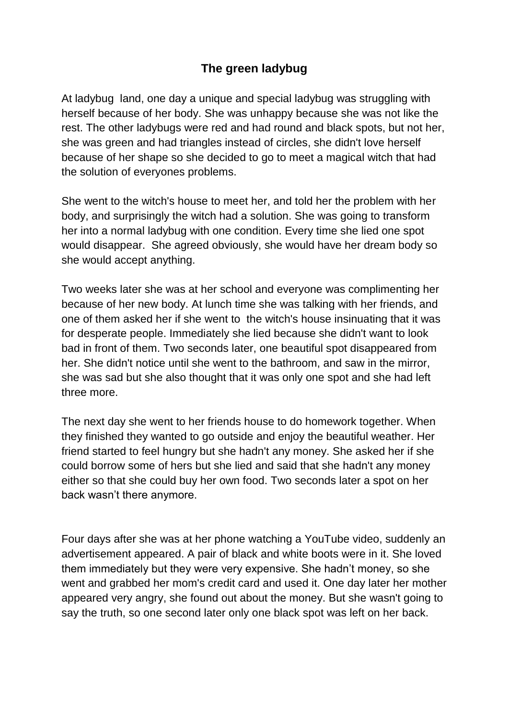## **The green ladybug**

At ladybug land, one day a unique and special ladybug was struggling with herself because of her body. She was unhappy because she was not like the rest. The other ladybugs were red and had round and black spots, but not her, she was green and had triangles instead of circles, she didn't love herself because of her shape so she decided to go to meet a magical witch that had the solution of everyones problems.

She went to the witch's house to meet her, and told her the problem with her body, and surprisingly the witch had a solution. She was going to transform her into a normal ladybug with one condition. Every time she lied one spot would disappear. She agreed obviously, she would have her dream body so she would accept anything.

Two weeks later she was at her school and everyone was complimenting her because of her new body. At lunch time she was talking with her friends, and one of them asked her if she went to the witch's house insinuating that it was for desperate people. Immediately she lied because she didn't want to look bad in front of them. Two seconds later, one beautiful spot disappeared from her. She didn't notice until she went to the bathroom, and saw in the mirror, she was sad but she also thought that it was only one spot and she had left three more.

The next day she went to her friends house to do homework together. When they finished they wanted to go outside and enjoy the beautiful weather. Her friend started to feel hungry but she hadn't any money. She asked her if she could borrow some of hers but she lied and said that she hadn't any money either so that she could buy her own food. Two seconds later a spot on her back wasn't there anymore.

Four days after she was at her phone watching a YouTube video, suddenly an advertisement appeared. A pair of black and white boots were in it. She loved them immediately but they were very expensive. She hadn't money, so she went and grabbed her mom's credit card and used it. One day later her mother appeared very angry, she found out about the money. But she wasn't going to say the truth, so one second later only one black spot was left on her back.